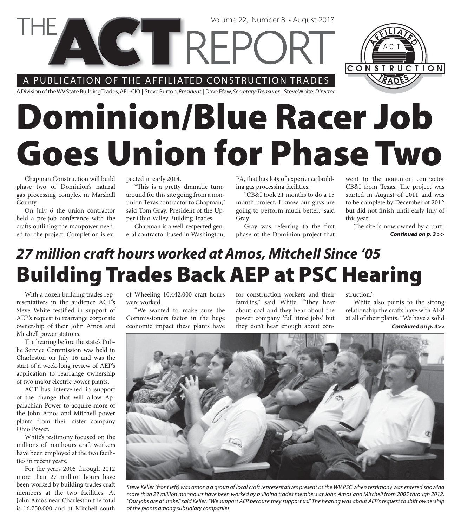A PUBLICATION OF THE AFFILIATED CONSTRUCTION TRADES

**VGT REPC** 

A Division of the WV State Building Trades, AFL-CIO | Steve Burton, President | Dave Efaw, Secretary-Treasurer | Steve White, Director

# **Dominion/Blue Racer Job Goes Union for Phase Two**

Chapman Construction will build phase two of Dominion's natural gas processing complex in Marshall County.

On July 6 the union contractor held a pre-job conference with the crafts outlining the manpower needed for the project. Completion is expected in early 2014.

"This is a pretty dramatic turnaround for this site going from a nonunion Texas contractor to Chapman," said Tom Gray, President of the Upper Ohio Valley Building Trades.

Chapman is a well-respected general contractor based in Washington, PA, that has lots of experience building gas processing facilities.

Volume 22, Number 8 • August 2013

"CB&I took 21 months to do a 15 month project, I know our guys are going to perform much better," said Gray.

Gray was referring to the first phase of the Dominion project that

went to the nonunion contractor CB&I from Texas. The project was started in August of 2011 and was to be complete by December of 2012 but did not finish until early July of this year.

The site is now owned by a part-*Continued on p. 3 >>*

## **Building Trades Back AEP at PSC Hearing** *27 million craft hours worked at Amos, Mitchell Since '05*

With a dozen building trades representatives in the audience ACT's Steve White testified in support of AEP's request to rearrange corporate ownership of their John Amos and Mitchell power stations.

The hearing before the state's Public Service Commission was held in Charleston on July 16 and was the start of a week-long review of AEP's application to rearrange ownership of two major electric power plants.

ACT has intervened in support of the change that will allow Appalachian Power to acquire more of the John Amos and Mitchell power plants from their sister company Ohio Power.

White's testimony focused on the millions of manhours craft workers have been employed at the two facilities in recent years.

For the years 2005 through 2012 more than 27 million hours have been worked by building trades craft members at the two facilities. At John Amos near Charleston the total is 16,750,000 and at Mitchell south of Wheeling 10,442,000 craft hours were worked.

"We wanted to make sure the Commissioners factor in the huge economic impact these plants have for construction workers and their families," said White. "They hear about coal and they hear about the power company 'full time jobs' but they don't hear enough about con-

struction."

White also points to the strong relationship the crafts have with AEP at all of their plants. "We have a solid

*Continued on p. 4>>*



Steve Keller (front left) was among a group of local craft representatives present at the WV PSC when testimony was entered showing more than 27 million manhours have been worked by building trades members at John Amos and Mitchell from 2005 through 2012. "Our jobs are at stake," said Keller. "We support AEP because they support us." The hearing was about AEP's request to shift ownership of the plants among subsidiary companies.

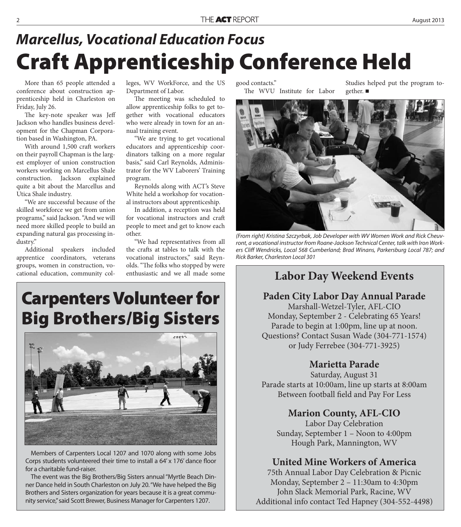# **Craft Apprenticeship Conference Held** *Marcellus, Vocational Education Focus*

More than 65 people attended a conference about construction apprenticeship held in Charleston on Friday, July 26.

The key-note speaker was Jeff Jackson who handles business development for the Chapman Corporation based in Washington, PA.

With around 1,500 craft workers on their payroll Chapman is the largest employer of union construction workers working on Marcellus Shale construction. Jackson explained quite a bit about the Marcellus and Utica Shale industry.

"We are successful because of the skilled workforce we get from union programs," said Jackson. "And we will need more skilled people to build an expanding natural gas processing industry."

Additional speakers included apprentice coordinators, veterans groups, women in construction, vocational education, community colleges, WV WorkForce, and the US Department of Labor.

The meeting was scheduled to allow apprenticeship folks to get together with vocational educators who were already in town for an annual training event.

"We are trying to get vocational educators and apprenticeship coordinators talking on a more regular basis," said Carl Reynolds, Administrator for the WV Laborers' Training program.

Reynolds along with ACT's Steve White held a workshop for vocational instructors about apprenticeship.

In addition, a reception was held for vocational instructors and craft people to meet and get to know each other.

"We had representatives from all the crafts at tables to talk with the vocational instructors," said Reynolds. "The folks who stopped by were enthusiastic and we all made some

## **Carpenters Volunteer for Big Brothers/Big Sisters**



Members of Carpenters Local 1207 and 1070 along with some Jobs Corps students volunteered their time to install a 64' x 176' dance floor for a charitable fund-raiser.

The event was the Big Brothers/Big Sisters annual "Myrtle Beach Dinner Dance held in South Charleston on July 20. "We have helped the Big Brothers and Sisters organization for years because it is a great community service," said Scott Brewer, Business Manager for Carpenters 1207.

good contacts."

The WVU Institute for Labor

Studies helped put the program together. ■



(From right) Kristina Szczyrbak, Job Developer with WV Women Work and Rick Cheuvront, a vocational instructor from Roane-Jackson Technical Center, talk with Iron Workers Cliff Wendricks, Local 568 Cumberland; Brad Winans, Parkersburg Local 787; and Rick Barker, Charleston Local 301

#### **Labor Day Weekend Events**

#### **Paden City Labor Day Annual Parade**

Marshall-Wetzel-Tyler, AFL-CIO Monday, September 2 - Celebrating 65 Years! Parade to begin at 1:00pm, line up at noon. Questions? Contact Susan Wade (304-771-1574) or Judy Ferrebee (304-771-3925)

#### **Marietta Parade**

Saturday, August 31 Parade starts at 10:00am, line up starts at 8:00am Between football field and Pay For Less

#### **Marion County, AFL-CIO**

Labor Day Celebration Sunday, September 1 – Noon to 4:00pm Hough Park, Mannington, WV

#### **United Mine Workers of America**

75th Annual Labor Day Celebration & Picnic Monday, September 2 – 11:30am to 4:30pm John Slack Memorial Park, Racine, WV Additional info contact Ted Hapney (304-552-4498)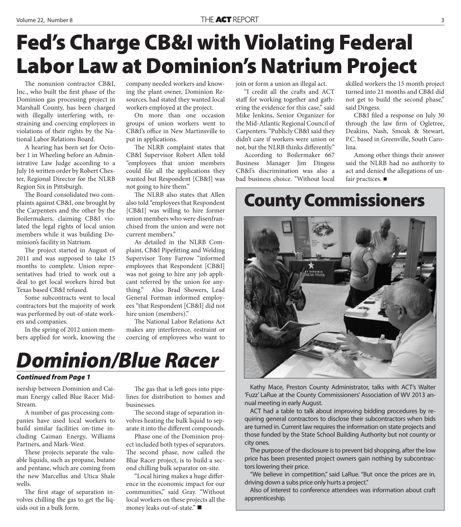# **Fed's Charge CB&I with Violating Federal Labor Law at Dominion's Natrium Project**

The nonunion contractor CB&I, Inc., who built the first phase of the Dominion gas processing project in Marshall County, has been charged with illegally interfering with, restraining and coercing employees in violations of their rights by the National Labor Relations Board.

A hearing has been set for October 1 in Wheeling before an Administrative Law Judge according to a July 16 written order by Robert Chester, Regional Director for the NLRB Region Six in Pittsburgh.

The Board consolidated two complaints against CB&I, one brought by the Carpenters and the other by the Boilermakers, claiming CB&I violated the legal rights of local union members while it was building Dominion's facility in Natrium.

The project started in August of 2011 and was supposed to take 15 months to complete. Union representatives had tried to work out a deal to get local workers hired but Texas based CB&I refused.

Some subcontracts went to local contractors but the majority of work was performed by out-of-state workers and companies.

In the spring of 2012 union members applied for work, knowing the company needed workers and knowing the plant owner, Dominion Resources, had stated they wanted local workers employed at the project.

On more than one occasion groups of union workers went to CB&I's office in New Martinsville to put in applications.

The NLRB complaint states that CB&I Supervisor Robert Allen told "employees that union members could file all the applications they wanted but Respondent [CB&I] was not going to hire them."

The NLRB also states that Allen also told "employees that Respondent [CB&I] was willing to hire former union members who were disenfranchised from the union and were not current members."

As detailed in the NLRB Complaint, CB&I Pipefitting and Welding Supervisor Tony Farrow "informed employees that Respondent [CB&I] was not going to hire any job applicant referred by the union for anything." Also Brad Showers, Lead General Forman informed employees "that Respondent [CB&I] did not hire union (members)."

The National Labor Relations Act makes any interference, restraint or coercing of employees who want to



#### *Continued from Page 1*

nership between Dominion and Caiman Energy called Blue Racer Mid-Stream.

A number of gas processing companies have used local workers to build similar facilities on-time including Caiman Energy, Williams Partners, and Mark-West.

These projects separate the valuable liquids, such as propane, butane and pentane, which are coming from the new Marcellus and Utica Shale wells.

The first stage of separation involves chilling the gas to get the liquids out in a bulk form.

The gas that is left goes into pipelines for distribution to homes and businesses.

The second stage of separation involves heating the bulk liquid to separate it into the different compounds.

Phase one of the Dominion project included both types of separators. The second phase, now called the Blue Racer project, is to build a second chilling bulk separator on-site.

"Local hiring makes a huge difference in the economic impact for our communities," said Gray. "Without local workers on these projects all the money leaks out-of-state."

join or form a union an illegal act.

"I credit all the crafts and ACT staff for working together and gathering the evidence for this case," said Mike Jenkins, Senior Organizer for the Mid-Atlantic Regional Council of Carpenters. "Publicly CB&I said they didn't care if workers were union or not, but the NLRB thinks differently."

According to Boilermaker 667 Business Manager Jim Dingess CB&I's discrimination was also a bad business choice. "Without local

skilled workers the 15 month project turned into 21 months and CB&I did not get to build the second phase," said Dingess.

CB&I filed a response on July 30 through the law firm of Ogletree, Deakins, Nash, Smoak & Stewart, P.C. based in Greenville, South Carolina.

Among other things their answer said the NLRB had no authority to act and denied the allegations of unfair practices. ■

### **County Commissioners**



Kathy Mace, Preston County Administrator, talks with ACT's Walter 'Fuzz' LaRue at the County Commissioners' Association of WV 2013 annual meeting in early August.

ACT had a table to talk about improving bidding procedures by requiring general contractors to disclose their subcontractors when bids are turned in. Current law requires the information on state projects and those funded by the State School Building Authority but not county or city ones.

The purpose of the disclosure is to prevent bid shopping, after the low price has been presented project owners gain nothing by subcontractors lowering their price.

"We believe in competition," said LaRue. "But once the prices are in, driving down a subs price only hurts a project."

Also of interest to conference attendees was information about craft apprenticeship.